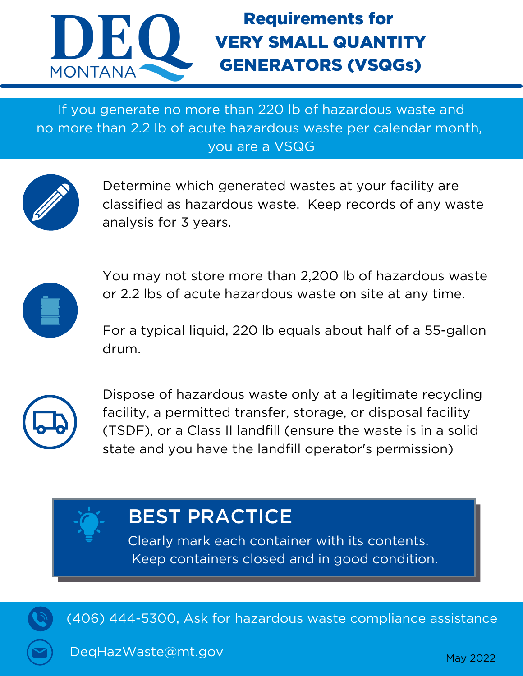

# Requirements for VERY SMALL QUANTITY GENERATORS (VSQGs)

If you generate no more than 220 lb of hazardous waste and no more than 2.2 lb of acute hazardous waste per calendar month, you are a VSQG



Determine which generated wastes at your facility are classified as hazardous waste. Keep records of any waste analysis for 3 years.



You may not store more than 2,200 lb of hazardous waste or 2.2 lbs of acute hazardous waste on site at any time.

For a typical liquid, 220 lb equals about half of a 55-gallon drum.



Dispose of hazardous waste only at a legitimate recycling facility, a permitted transfer, storage, or disposal facility (TSDF), or a Class II landfill (ensure the waste is in a solid state and you have the landfill operator's permission)



# BEST PRACTICE

Clearly mark each container with its contents. Keep containers closed and in good condition.



(406) 444-5300, Ask for hazardous waste compliance assistance